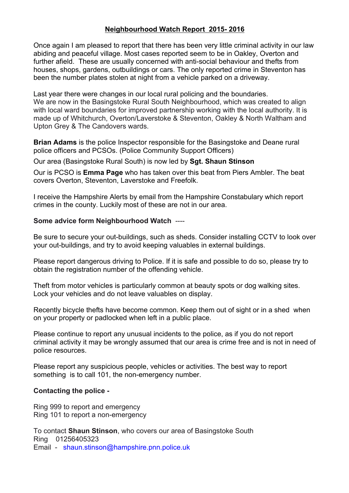## **Neighbourhood Watch Report 2015- 2016**

Once again I am pleased to report that there has been very little criminal activity in our law abiding and peaceful village. Most cases reported seem to be in Oakley, Overton and further afield. These are usually concerned with anti-social behaviour and thefts from houses, shops, gardens, outbuildings or cars. The only reported crime in Steventon has been the number plates stolen at night from a vehicle parked on a driveway.

Last year there were changes in our local rural policing and the boundaries. We are now in the Basingstoke Rural South Neighbourhood, which was created to align with local ward boundaries for improved partnership working with the local authority. It is made up of Whitchurch, Overton/Laverstoke & Steventon, Oakley & North Waltham and Upton Grey & The Candovers wards.

**Brian Adams** is the police Inspector responsible for the Basingstoke and Deane rural police officers and PCSOs. (Police Community Support Officers)

Our area (Basingstoke Rural South) is now led by **Sgt. Shaun Stinson**

Our is PCSO is **Emma Page** who has taken over this beat from Piers Ambler. The beat covers Overton, Steventon, Laverstoke and Freefolk.

I receive the Hampshire Alerts by email from the Hampshire Constabulary which report crimes in the county. Luckily most of these are not in our area.

## **Some advice form Neighbourhood Watch** ----

Be sure to secure your out-buildings, such as sheds. Consider installing CCTV to look over your out-buildings, and try to avoid keeping valuables in external buildings.

Please report dangerous driving to Police. If it is safe and possible to do so, please try to obtain the registration number of the offending vehicle.

Theft from motor vehicles is particularly common at beauty spots or dog walking sites. Lock your vehicles and do not leave valuables on display.

Recently bicycle thefts have become common. Keep them out of sight or in a shed when on your property or padlocked when left in a public place.

Please continue to report any unusual incidents to the police, as if you do not report criminal activity it may be wrongly assumed that our area is crime free and is not in need of police resources.

Please report any suspicious people, vehicles or activities. The best way to report something is to call 101, the non-emergency number.

## **Contacting the police -**

Ring 999 to report and emergency Ring 101 to report a non-emergency

To contact **Shaun Stinson**, who covers our area of Basingstoke South Ring 01256405323

Email - shaun.stinson@hampshire.pnn.police.uk